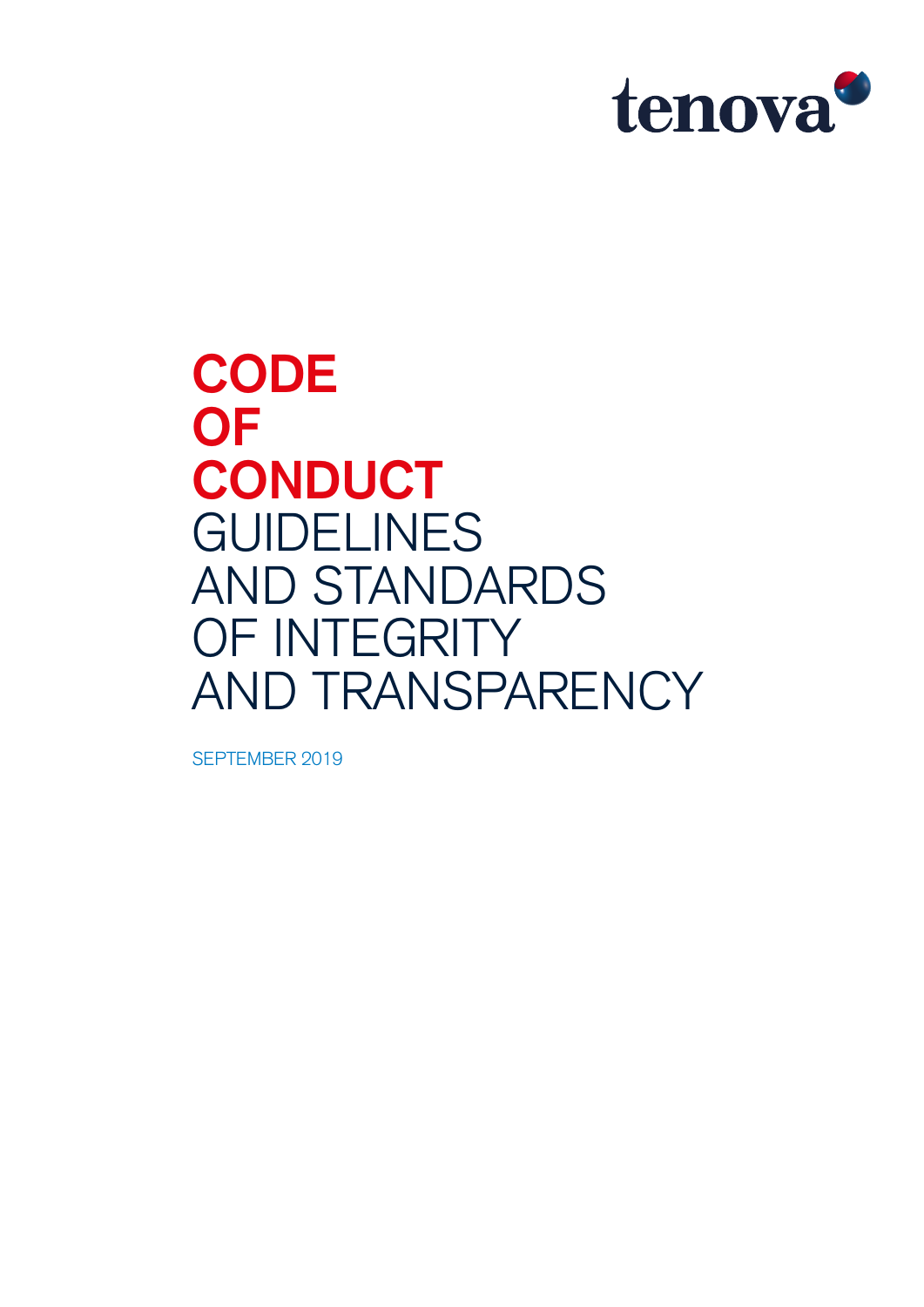

**CODE OF CONDUCT** GUIDELINES AND STANDARDS OF INTEGRITY AND TRANSPARENCY

SEPTEMBER 2019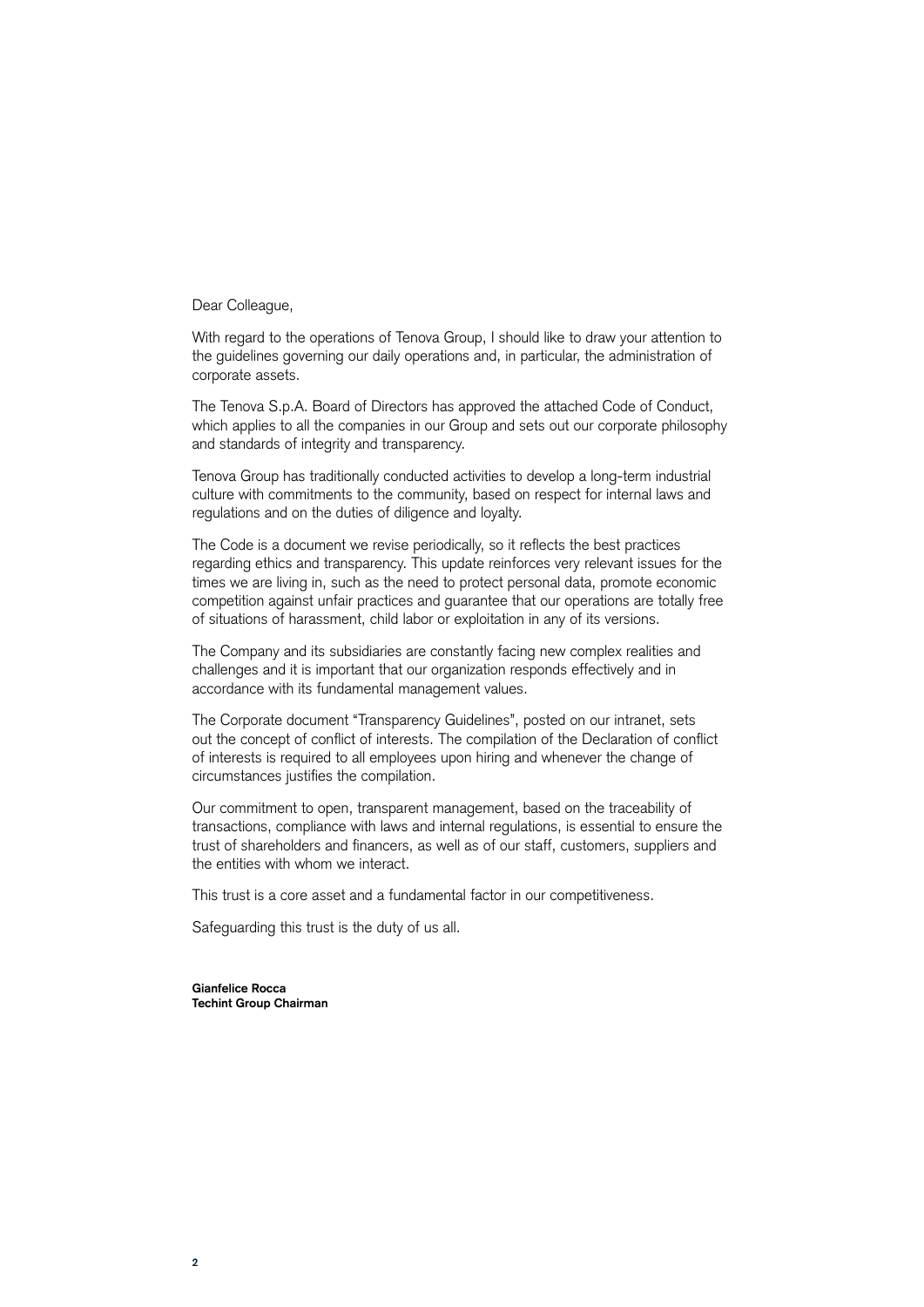Dear Colleague,

With regard to the operations of Tenova Group, I should like to draw your attention to the guidelines governing our daily operations and, in particular, the administration of corporate assets.

The Tenova S.p.A. Board of Directors has approved the attached Code of Conduct, which applies to all the companies in our Group and sets out our corporate philosophy and standards of integrity and transparency.

Tenova Group has traditionally conducted activities to develop a long-term industrial culture with commitments to the community, based on respect for internal laws and regulations and on the duties of diligence and loyalty.

The Code is a document we revise periodically, so it reflects the best practices regarding ethics and transparency. This update reinforces very relevant issues for the times we are living in, such as the need to protect personal data, promote economic competition against unfair practices and guarantee that our operations are totally free of situations of harassment, child labor or exploitation in any of its versions.

The Company and its subsidiaries are constantly facing new complex realities and challenges and it is important that our organization responds effectively and in accordance with its fundamental management values.

The Corporate document "Transparency Guidelines", posted on our intranet, sets out the concept of conflict of interests. The compilation of the Declaration of conflict of interests is required to all employees upon hiring and whenever the change of circumstances justifies the compilation.

Our commitment to open, transparent management, based on the traceability of transactions, compliance with laws and internal regulations, is essential to ensure the trust of shareholders and financers, as well as of our staff, customers, suppliers and the entities with whom we interact.

This trust is a core asset and a fundamental factor in our competitiveness.

Safeguarding this trust is the duty of us all.

**Gianfelice Rocca Techint Group Chairman**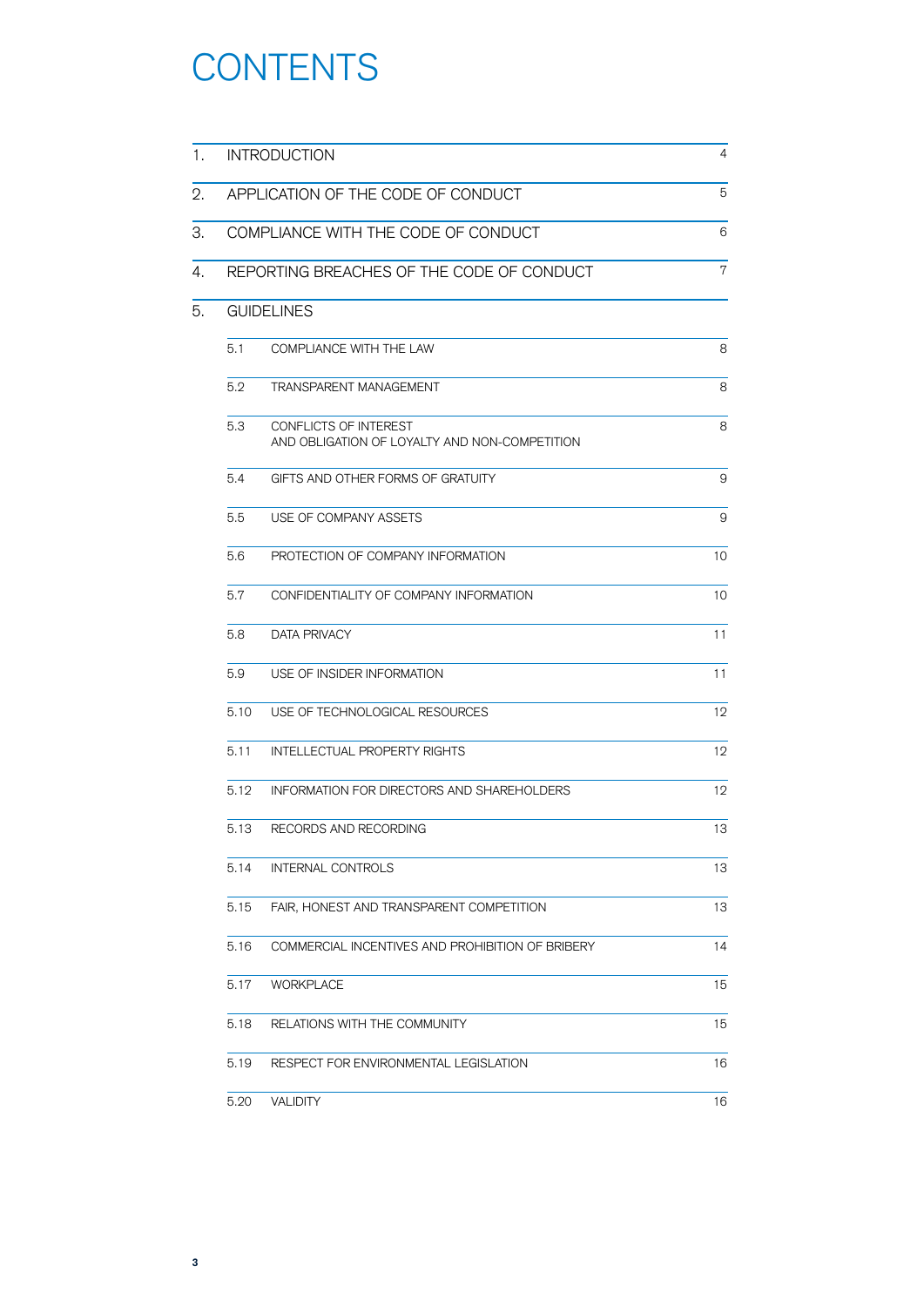# **CONTENTS**

| 1. | <b>INTRODUCTION</b>                |                                                                        | 4  |  |
|----|------------------------------------|------------------------------------------------------------------------|----|--|
| 2. | APPLICATION OF THE CODE OF CONDUCT |                                                                        | 5  |  |
| З. |                                    | COMPLIANCE WITH THE CODE OF CONDUCT                                    | 6  |  |
| 4. |                                    | REPORTING BREACHES OF THE CODE OF CONDUCT                              | 7  |  |
| 5. |                                    | <b>GUIDELINES</b>                                                      |    |  |
|    | 5.1                                | COMPLIANCE WITH THE LAW                                                | 8  |  |
|    | 5.2                                | TRANSPARENT MANAGEMENT                                                 | 8  |  |
|    | 5.3                                | CONFLICTS OF INTEREST<br>AND OBLIGATION OF LOYALTY AND NON-COMPETITION | 8  |  |
|    | 5.4                                | GIFTS AND OTHER FORMS OF GRATUITY                                      | 9  |  |
|    | 5.5                                | USE OF COMPANY ASSETS                                                  | 9  |  |
|    | 5.6                                | PROTECTION OF COMPANY INFORMATION                                      | 10 |  |
|    | 5.7                                | CONFIDENTIALITY OF COMPANY INFORMATION                                 | 10 |  |
|    | 5.8                                | <b>DATA PRIVACY</b>                                                    | 11 |  |
|    | 5.9                                | USE OF INSIDER INFORMATION                                             | 11 |  |
|    | 5.10                               | USE OF TECHNOLOGICAL RESOURCES                                         | 12 |  |
|    | 5.11                               | <b>INTELLECTUAL PROPERTY RIGHTS</b>                                    | 12 |  |
|    | 5.12                               | <b>INFORMATION FOR DIRECTORS AND SHAREHOLDERS</b>                      | 12 |  |
|    | 5.13                               | RECORDS AND RECORDING                                                  | 13 |  |
|    | 5.14                               | INTERNAL CONTROLS                                                      | 13 |  |
|    | 5.15                               | FAIR, HONEST AND TRANSPARENT COMPETITION                               | 13 |  |
|    | 5.16                               | COMMERCIAL INCENTIVES AND PROHIBITION OF BRIBERY                       | 14 |  |
|    | 5.17                               | <b>WORKPLACE</b>                                                       | 15 |  |
|    | 5.18                               | RELATIONS WITH THE COMMUNITY                                           | 15 |  |
|    | 5.19                               | RESPECT FOR ENVIRONMENTAL LEGISLATION                                  | 16 |  |
|    | 5.20                               | <b>VALIDITY</b>                                                        | 16 |  |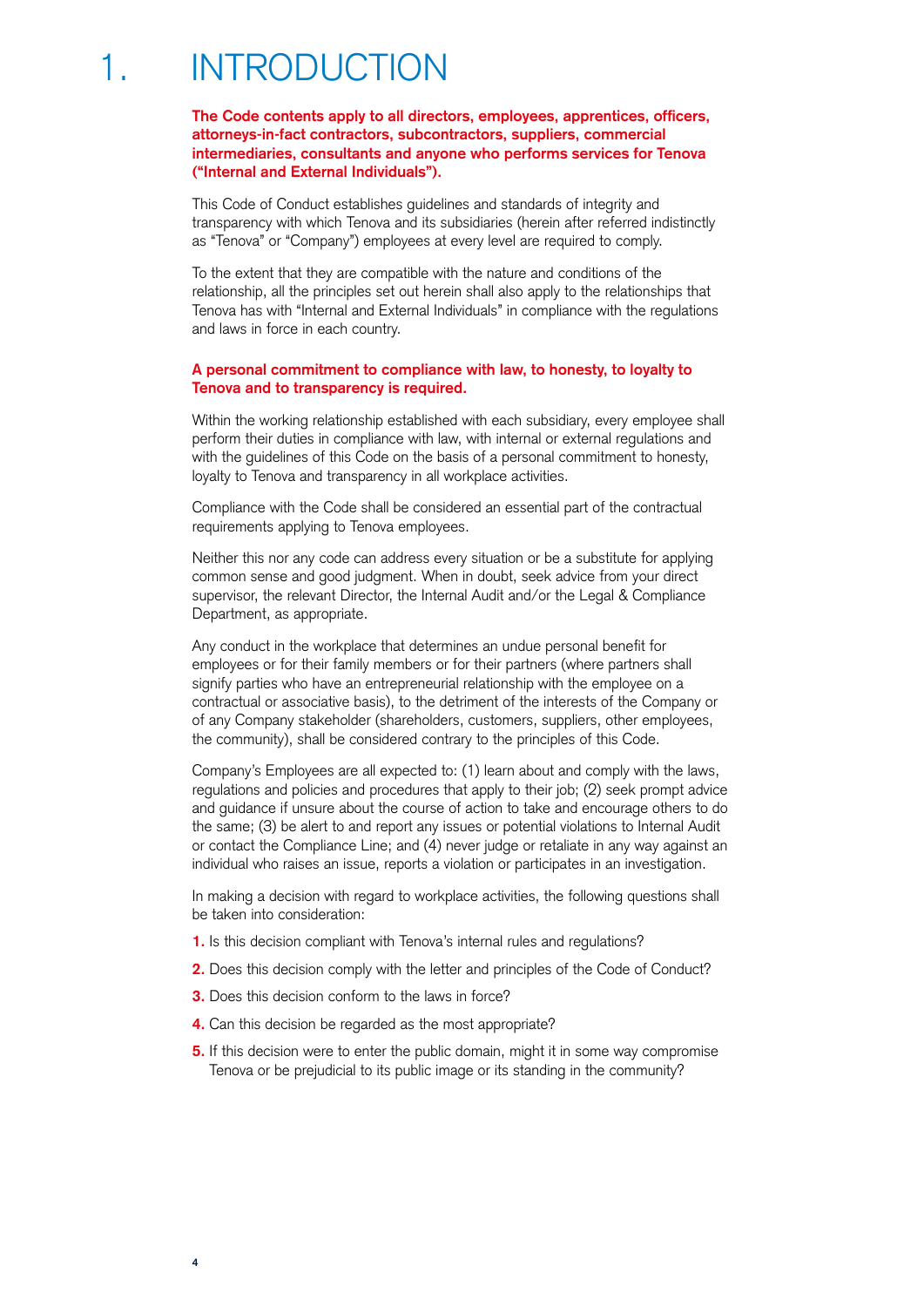## 1. INTRODUCTION

**The Code contents apply to all directors, employees, apprentices, officers, attorneys-in-fact contractors, subcontractors, suppliers, commercial intermediaries, consultants and anyone who performs services for Tenova ("Internal and External Individuals").**

This Code of Conduct establishes guidelines and standards of integrity and transparency with which Tenova and its subsidiaries (herein after referred indistinctly as "Tenova" or "Company") employees at every level are required to comply.

To the extent that they are compatible with the nature and conditions of the relationship, all the principles set out herein shall also apply to the relationships that Tenova has with "Internal and External Individuals" in compliance with the regulations and laws in force in each country.

#### **A personal commitment to compliance with law, to honesty, to loyalty to Tenova and to transparency is required.**

Within the working relationship established with each subsidiary, every employee shall perform their duties in compliance with law, with internal or external regulations and with the guidelines of this Code on the basis of a personal commitment to honesty, loyalty to Tenova and transparency in all workplace activities.

Compliance with the Code shall be considered an essential part of the contractual requirements applying to Tenova employees.

Neither this nor any code can address every situation or be a substitute for applying common sense and good judgment. When in doubt, seek advice from your direct supervisor, the relevant Director, the Internal Audit and/or the Legal & Compliance Department, as appropriate.

Any conduct in the workplace that determines an undue personal benefit for employees or for their family members or for their partners (where partners shall signify parties who have an entrepreneurial relationship with the employee on a contractual or associative basis), to the detriment of the interests of the Company or of any Company stakeholder (shareholders, customers, suppliers, other employees, the community), shall be considered contrary to the principles of this Code.

Company's Employees are all expected to: (1) learn about and comply with the laws, regulations and policies and procedures that apply to their job; (2) seek prompt advice and guidance if unsure about the course of action to take and encourage others to do the same; (3) be alert to and report any issues or potential violations to Internal Audit or contact the Compliance Line; and (4) never judge or retaliate in any way against an individual who raises an issue, reports a violation or participates in an investigation.

In making a decision with regard to workplace activities, the following questions shall be taken into consideration:

- **1.** Is this decision compliant with Tenova's internal rules and regulations?
- **2.** Does this decision comply with the letter and principles of the Code of Conduct?
- **3.** Does this decision conform to the laws in force?
- **4.** Can this decision be regarded as the most appropriate?
- **5.** If this decision were to enter the public domain, might it in some way compromise Tenova or be prejudicial to its public image or its standing in the community?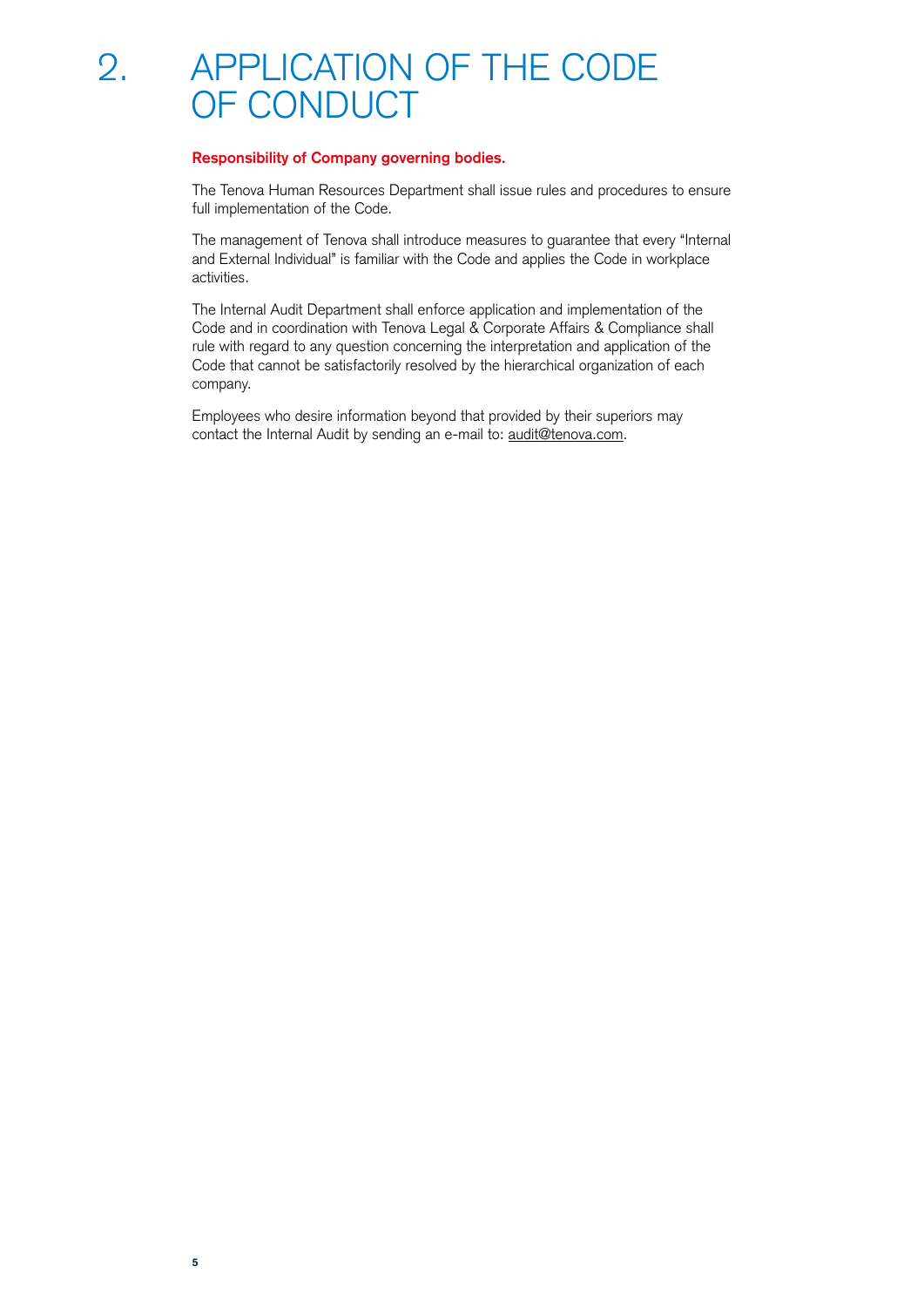## 2. APPLICATION OF THE CODE OF CONDUCT

#### **Responsibility of Company governing bodies.**

The Tenova Human Resources Department shall issue rules and procedures to ensure full implementation of the Code.

The management of Tenova shall introduce measures to guarantee that every "Internal and External Individual" is familiar with the Code and applies the Code in workplace activities.

The Internal Audit Department shall enforce application and implementation of the Code and in coordination with Tenova Legal & Corporate Affairs & Compliance shall rule with regard to any question concerning the interpretation and application of the Code that cannot be satisfactorily resolved by the hierarchical organization of each company.

Employees who desire information beyond that provided by their superiors may contact the Internal Audit by sending an e-mail to: [audit@tenova.com.](mailto:audit%40tenova.com?subject=)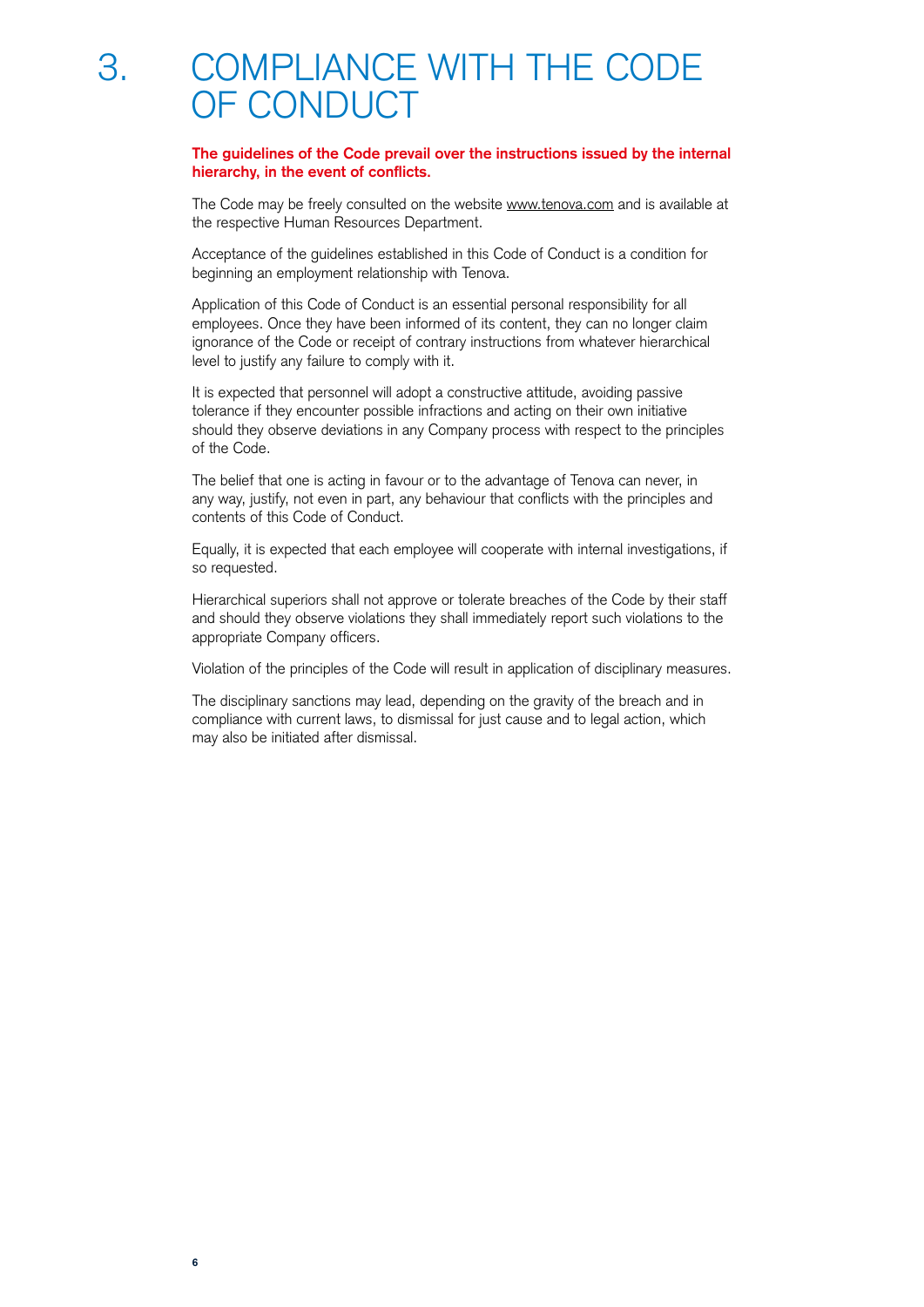**The guidelines of the Code prevail over the instructions issued by the internal hierarchy, in the event of conflicts.**

The Code may be freely consulted on the website [www.tenova.com](http://www.tenova.com) and is available at the respective Human Resources Department.

Acceptance of the guidelines established in this Code of Conduct is a condition for beginning an employment relationship with Tenova.

Application of this Code of Conduct is an essential personal responsibility for all employees. Once they have been informed of its content, they can no longer claim ignorance of the Code or receipt of contrary instructions from whatever hierarchical level to justify any failure to comply with it.

It is expected that personnel will adopt a constructive attitude, avoiding passive tolerance if they encounter possible infractions and acting on their own initiative should they observe deviations in any Company process with respect to the principles of the Code.

The belief that one is acting in favour or to the advantage of Tenova can never, in any way, justify, not even in part, any behaviour that conflicts with the principles and contents of this Code of Conduct.

Equally, it is expected that each employee will cooperate with internal investigations, if so requested.

Hierarchical superiors shall not approve or tolerate breaches of the Code by their staff and should they observe violations they shall immediately report such violations to the appropriate Company officers.

Violation of the principles of the Code will result in application of disciplinary measures.

The disciplinary sanctions may lead, depending on the gravity of the breach and in compliance with current laws, to dismissal for just cause and to legal action, which may also be initiated after dismissal.

**6**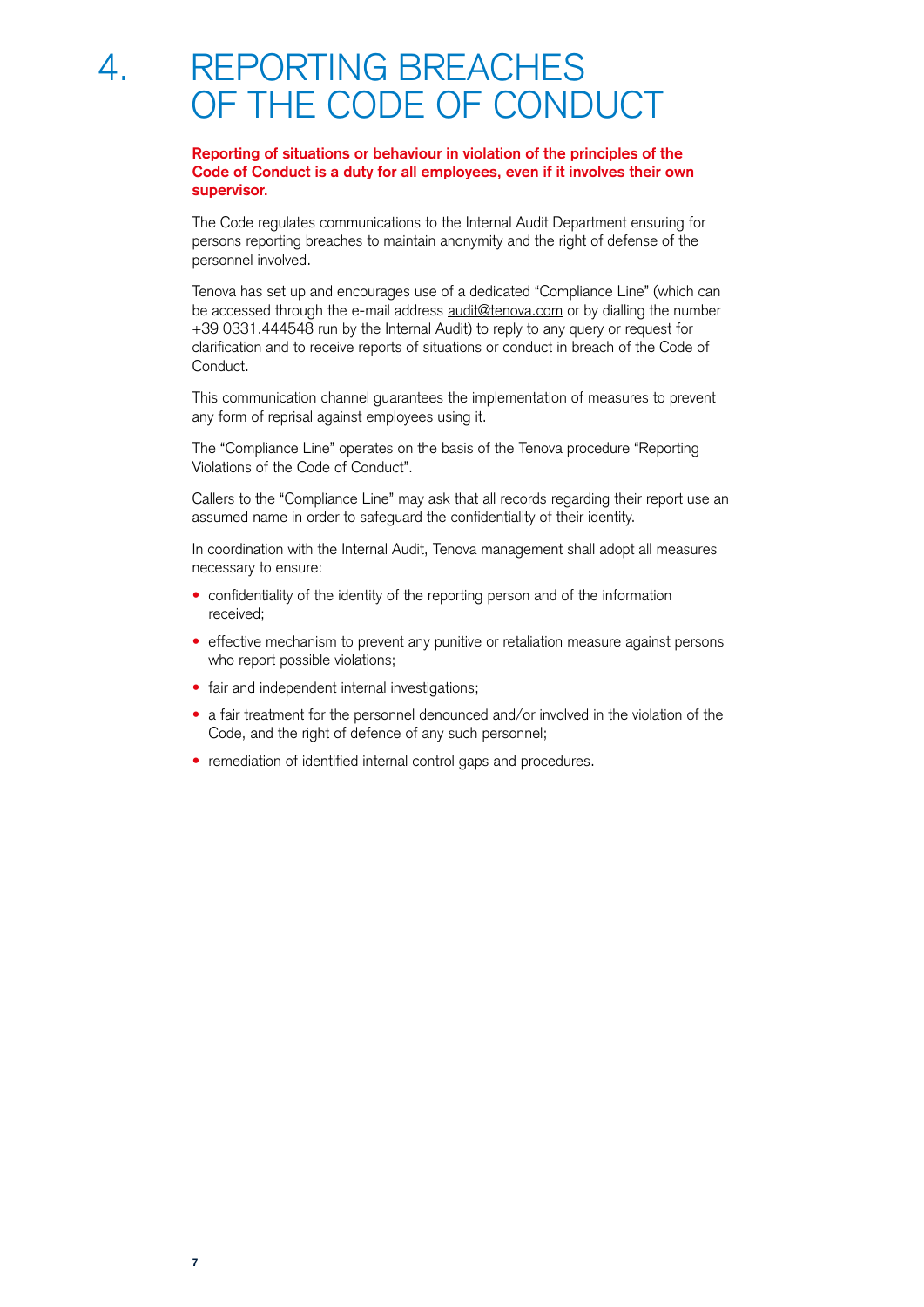## 4. REPORTING BREACHES OF THE CODE OF CONDUCT

#### **Reporting of situations or behaviour in violation of the principles of the Code of Conduct is a duty for all employees, even if it involves their own supervisor.**

The Code regulates communications to the Internal Audit Department ensuring for persons reporting breaches to maintain anonymity and the right of defense of the personnel involved.

Tenova has set up and encourages use of a dedicated "Compliance Line" (which can be accessed through the e-mail address [audit@tenova.com](mailto:audit%40tenova.com?subject=) or by dialling the number +39 0331.444548 run by the Internal Audit) to reply to any query or request for clarification and to receive reports of situations or conduct in breach of the Code of Conduct.

This communication channel guarantees the implementation of measures to prevent any form of reprisal against employees using it.

The "Compliance Line" operates on the basis of the Tenova procedure "Reporting Violations of the Code of Conduct".

Callers to the "Compliance Line" may ask that all records regarding their report use an assumed name in order to safeguard the confidentiality of their identity.

In coordination with the Internal Audit, Tenova management shall adopt all measures necessary to ensure:

- confidentiality of the identity of the reporting person and of the information received;
- effective mechanism to prevent any punitive or retaliation measure against persons who report possible violations;
- fair and independent internal investigations;
- a fair treatment for the personnel denounced and/or involved in the violation of the Code, and the right of defence of any such personnel;
- remediation of identified internal control gaps and procedures.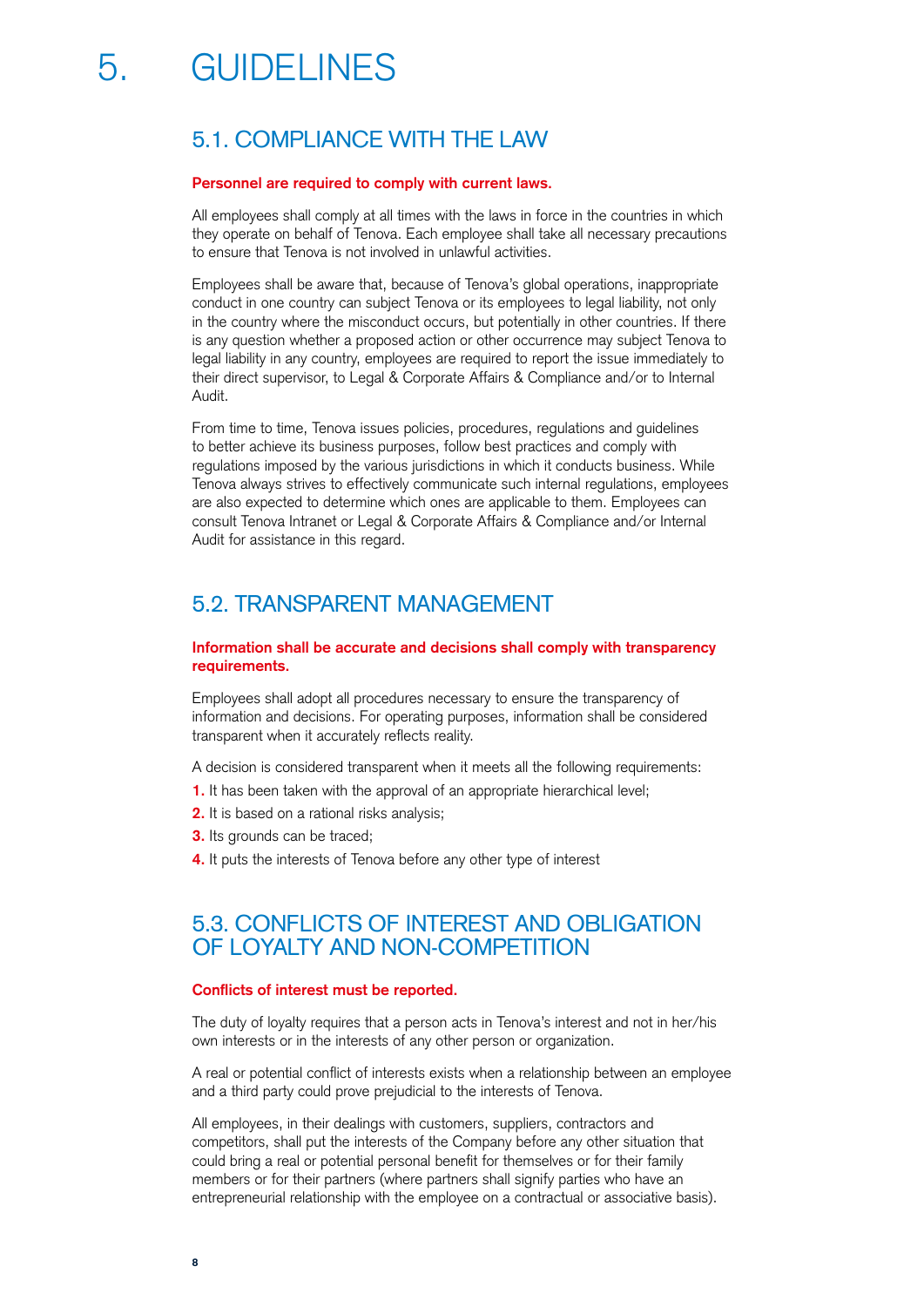# 5. GUIDELINES

## 5.1. COMPLIANCE WITH THE LAW

#### **Personnel are required to comply with current laws.**

All employees shall comply at all times with the laws in force in the countries in which they operate on behalf of Tenova. Each employee shall take all necessary precautions to ensure that Tenova is not involved in unlawful activities.

Employees shall be aware that, because of Tenova's global operations, inappropriate conduct in one country can subject Tenova or its employees to legal liability, not only in the country where the misconduct occurs, but potentially in other countries. If there is any question whether a proposed action or other occurrence may subject Tenova to legal liability in any country, employees are required to report the issue immediately to their direct supervisor, to Legal & Corporate Affairs & Compliance and/or to Internal Audit.

From time to time, Tenova issues policies, procedures, regulations and guidelines to better achieve its business purposes, follow best practices and comply with regulations imposed by the various jurisdictions in which it conducts business. While Tenova always strives to effectively communicate such internal regulations, employees are also expected to determine which ones are applicable to them. Employees can consult Tenova Intranet or Legal & Corporate Affairs & Compliance and/or Internal Audit for assistance in this regard.

## 5.2. TRANSPARENT MANAGEMENT

#### **Information shall be accurate and decisions shall comply with transparency requirements.**

Employees shall adopt all procedures necessary to ensure the transparency of information and decisions. For operating purposes, information shall be considered transparent when it accurately reflects reality.

A decision is considered transparent when it meets all the following requirements:

- **1.** It has been taken with the approval of an appropriate hierarchical level;
- **2.** It is based on a rational risks analysis;
- **3.** Its grounds can be traced;
- **4.** It puts the interests of Tenova before any other type of interest

## 5.3. CONFLICTS OF INTEREST AND OBLIGATION OF LOYALTY AND NON-COMPETITION

#### **Conflicts of interest must be reported.**

The duty of loyalty requires that a person acts in Tenova's interest and not in her/his own interests or in the interests of any other person or organization.

A real or potential conflict of interests exists when a relationship between an employee and a third party could prove prejudicial to the interests of Tenova.

All employees, in their dealings with customers, suppliers, contractors and competitors, shall put the interests of the Company before any other situation that could bring a real or potential personal benefit for themselves or for their family members or for their partners (where partners shall signify parties who have an entrepreneurial relationship with the employee on a contractual or associative basis).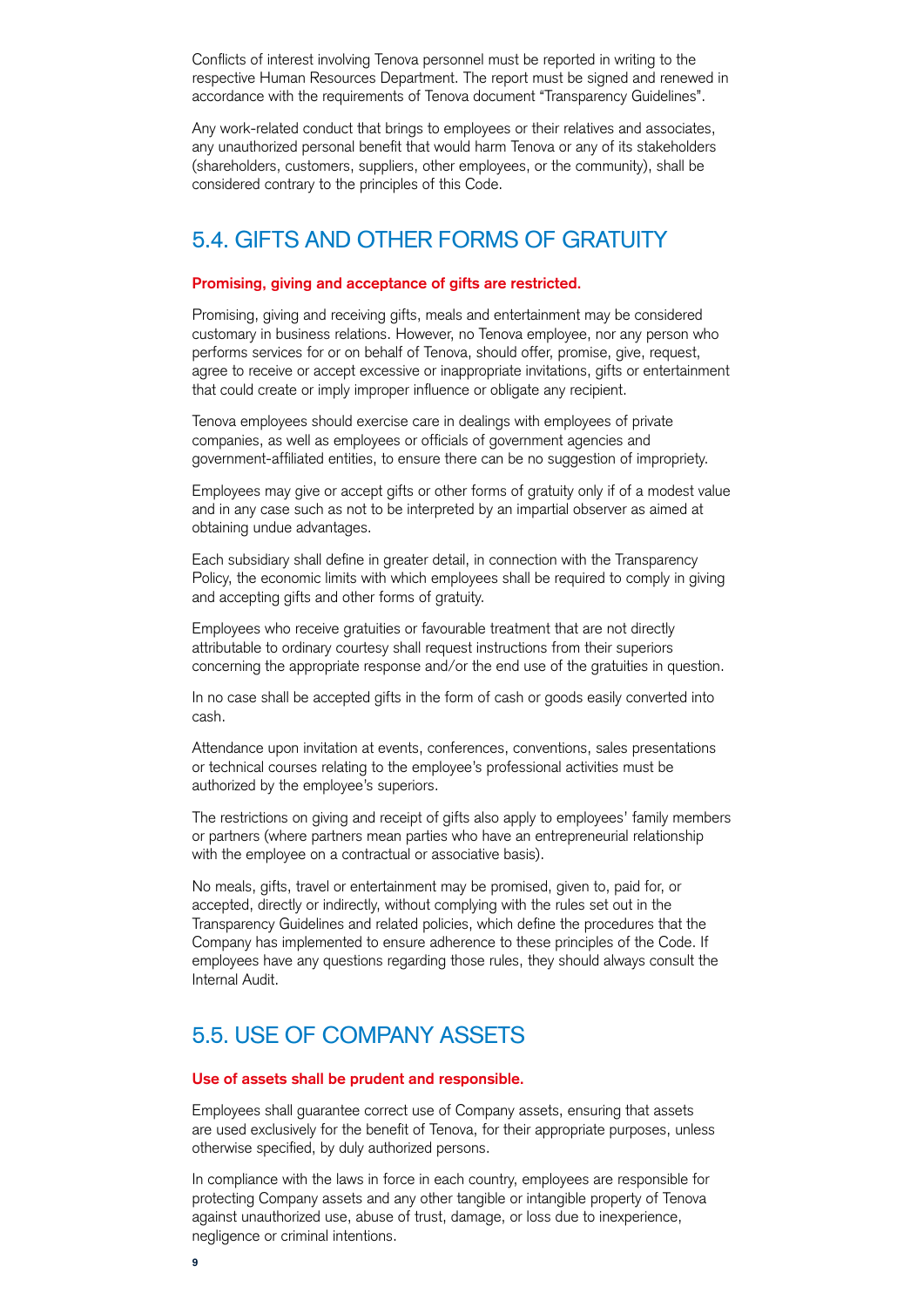Conflicts of interest involving Tenova personnel must be reported in writing to the respective Human Resources Department. The report must be signed and renewed in accordance with the requirements of Tenova document "Transparency Guidelines".

Any work-related conduct that brings to employees or their relatives and associates, any unauthorized personal benefit that would harm Tenova or any of its stakeholders (shareholders, customers, suppliers, other employees, or the community), shall be considered contrary to the principles of this Code.

## 5.4. GIFTS AND OTHER FORMS OF GRATUITY

#### **Promising, giving and acceptance of gifts are restricted.**

Promising, giving and receiving gifts, meals and entertainment may be considered customary in business relations. However, no Tenova employee, nor any person who performs services for or on behalf of Tenova, should offer, promise, give, request, agree to receive or accept excessive or inappropriate invitations, gifts or entertainment that could create or imply improper influence or obligate any recipient.

Tenova employees should exercise care in dealings with employees of private companies, as well as employees or officials of government agencies and government-affiliated entities, to ensure there can be no suggestion of impropriety.

Employees may give or accept gifts or other forms of gratuity only if of a modest value and in any case such as not to be interpreted by an impartial observer as aimed at obtaining undue advantages.

Each subsidiary shall define in greater detail, in connection with the Transparency Policy, the economic limits with which employees shall be required to comply in giving and accepting gifts and other forms of gratuity.

Employees who receive gratuities or favourable treatment that are not directly attributable to ordinary courtesy shall request instructions from their superiors concerning the appropriate response and/or the end use of the gratuities in question.

In no case shall be accepted gifts in the form of cash or goods easily converted into cash.

Attendance upon invitation at events, conferences, conventions, sales presentations or technical courses relating to the employee's professional activities must be authorized by the employee's superiors.

The restrictions on giving and receipt of gifts also apply to employees' family members or partners (where partners mean parties who have an entrepreneurial relationship with the employee on a contractual or associative basis).

No meals, gifts, travel or entertainment may be promised, given to, paid for, or accepted, directly or indirectly, without complying with the rules set out in the Transparency Guidelines and related policies, which define the procedures that the Company has implemented to ensure adherence to these principles of the Code. If employees have any questions regarding those rules, they should always consult the Internal Audit.

## 5.5. USE OF COMPANY ASSETS

#### **Use of assets shall be prudent and responsible.**

Employees shall guarantee correct use of Company assets, ensuring that assets are used exclusively for the benefit of Tenova, for their appropriate purposes, unless otherwise specified, by duly authorized persons.

In compliance with the laws in force in each country, employees are responsible for protecting Company assets and any other tangible or intangible property of Tenova against unauthorized use, abuse of trust, damage, or loss due to inexperience, negligence or criminal intentions.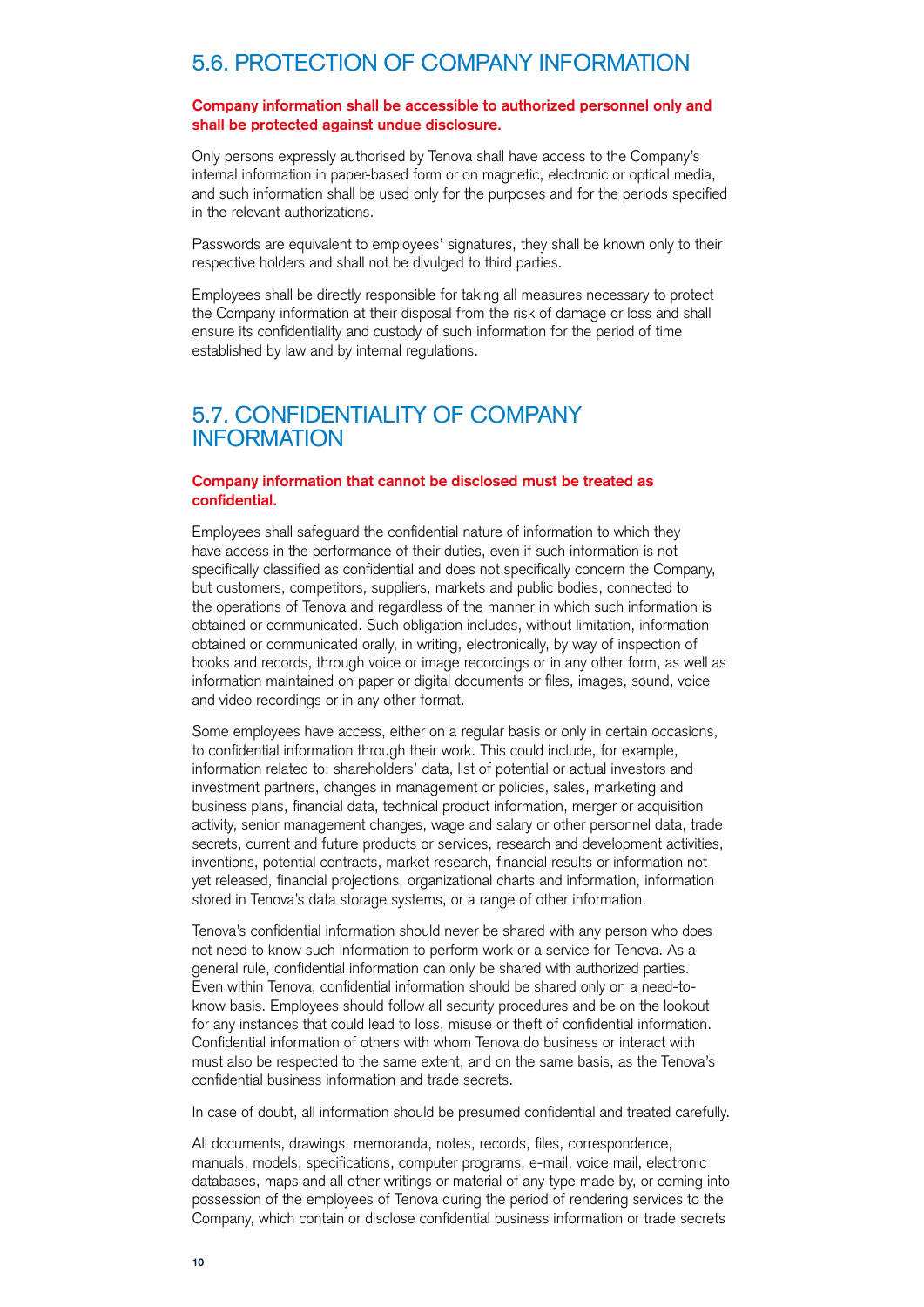## 5.6. PROTECTION OF COMPANY INFORMATION

#### **Company information shall be accessible to authorized personnel only and shall be protected against undue disclosure.**

Only persons expressly authorised by Tenova shall have access to the Company's internal information in paper-based form or on magnetic, electronic or optical media, and such information shall be used only for the purposes and for the periods specified in the relevant authorizations.

Passwords are equivalent to employees' signatures, they shall be known only to their respective holders and shall not be divulged to third parties.

Employees shall be directly responsible for taking all measures necessary to protect the Company information at their disposal from the risk of damage or loss and shall ensure its confidentiality and custody of such information for the period of time established by law and by internal regulations.

## 5.7. CONFIDENTIALITY OF COMPANY INFORMATION

#### **Company information that cannot be disclosed must be treated as confidential.**

Employees shall safeguard the confidential nature of information to which they have access in the performance of their duties, even if such information is not specifically classified as confidential and does not specifically concern the Company, but customers, competitors, suppliers, markets and public bodies, connected to the operations of Tenova and regardless of the manner in which such information is obtained or communicated. Such obligation includes, without limitation, information obtained or communicated orally, in writing, electronically, by way of inspection of books and records, through voice or image recordings or in any other form, as well as information maintained on paper or digital documents or files, images, sound, voice and video recordings or in any other format.

Some employees have access, either on a regular basis or only in certain occasions, to confidential information through their work. This could include, for example, information related to: shareholders' data, list of potential or actual investors and investment partners, changes in management or policies, sales, marketing and business plans, financial data, technical product information, merger or acquisition activity, senior management changes, wage and salary or other personnel data, trade secrets, current and future products or services, research and development activities, inventions, potential contracts, market research, financial results or information not yet released, financial projections, organizational charts and information, information stored in Tenova's data storage systems, or a range of other information.

Tenova's confidential information should never be shared with any person who does not need to know such information to perform work or a service for Tenova. As a general rule, confidential information can only be shared with authorized parties. Even within Tenova, confidential information should be shared only on a need-toknow basis. Employees should follow all security procedures and be on the lookout for any instances that could lead to loss, misuse or theft of confidential information. Confidential information of others with whom Tenova do business or interact with must also be respected to the same extent, and on the same basis, as the Tenova's confidential business information and trade secrets.

In case of doubt, all information should be presumed confidential and treated carefully.

All documents, drawings, memoranda, notes, records, files, correspondence, manuals, models, specifications, computer programs, e-mail, voice mail, electronic databases, maps and all other writings or material of any type made by, or coming into possession of the employees of Tenova during the period of rendering services to the Company, which contain or disclose confidential business information or trade secrets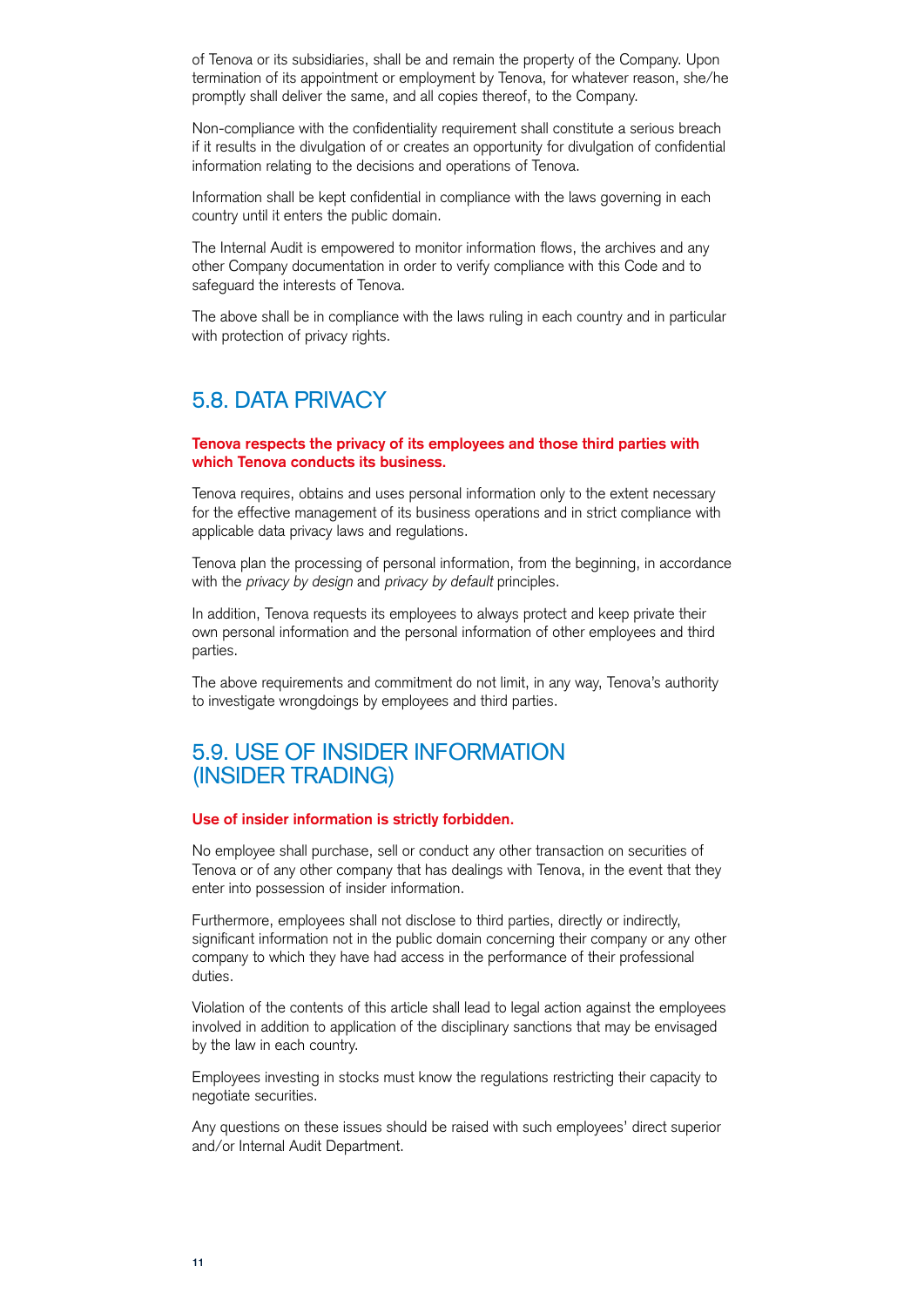of Tenova or its subsidiaries, shall be and remain the property of the Company. Upon termination of its appointment or employment by Tenova, for whatever reason, she/he promptly shall deliver the same, and all copies thereof, to the Company.

Non-compliance with the confidentiality requirement shall constitute a serious breach if it results in the divulgation of or creates an opportunity for divulgation of confidential information relating to the decisions and operations of Tenova.

Information shall be kept confidential in compliance with the laws governing in each country until it enters the public domain.

The Internal Audit is empowered to monitor information flows, the archives and any other Company documentation in order to verify compliance with this Code and to safeguard the interests of Tenova.

The above shall be in compliance with the laws ruling in each country and in particular with protection of privacy rights.

## 5.8. DATA PRIVACY

#### **Tenova respects the privacy of its employees and those third parties with which Tenova conducts its business.**

Tenova requires, obtains and uses personal information only to the extent necessary for the effective management of its business operations and in strict compliance with applicable data privacy laws and regulations.

Tenova plan the processing of personal information, from the beginning, in accordance with the *privacy by design* and *privacy by default* principles.

In addition, Tenova requests its employees to always protect and keep private their own personal information and the personal information of other employees and third parties.

The above requirements and commitment do not limit, in any way, Tenova's authority to investigate wrongdoings by employees and third parties.

### 5.9. USE OF INSIDER INFORMATION (INSIDER TRADING)

#### **Use of insider information is strictly forbidden.**

No employee shall purchase, sell or conduct any other transaction on securities of Tenova or of any other company that has dealings with Tenova, in the event that they enter into possession of insider information.

Furthermore, employees shall not disclose to third parties, directly or indirectly, significant information not in the public domain concerning their company or any other company to which they have had access in the performance of their professional duties.

Violation of the contents of this article shall lead to legal action against the employees involved in addition to application of the disciplinary sanctions that may be envisaged by the law in each country.

Employees investing in stocks must know the regulations restricting their capacity to negotiate securities.

Any questions on these issues should be raised with such employees' direct superior and/or Internal Audit Department.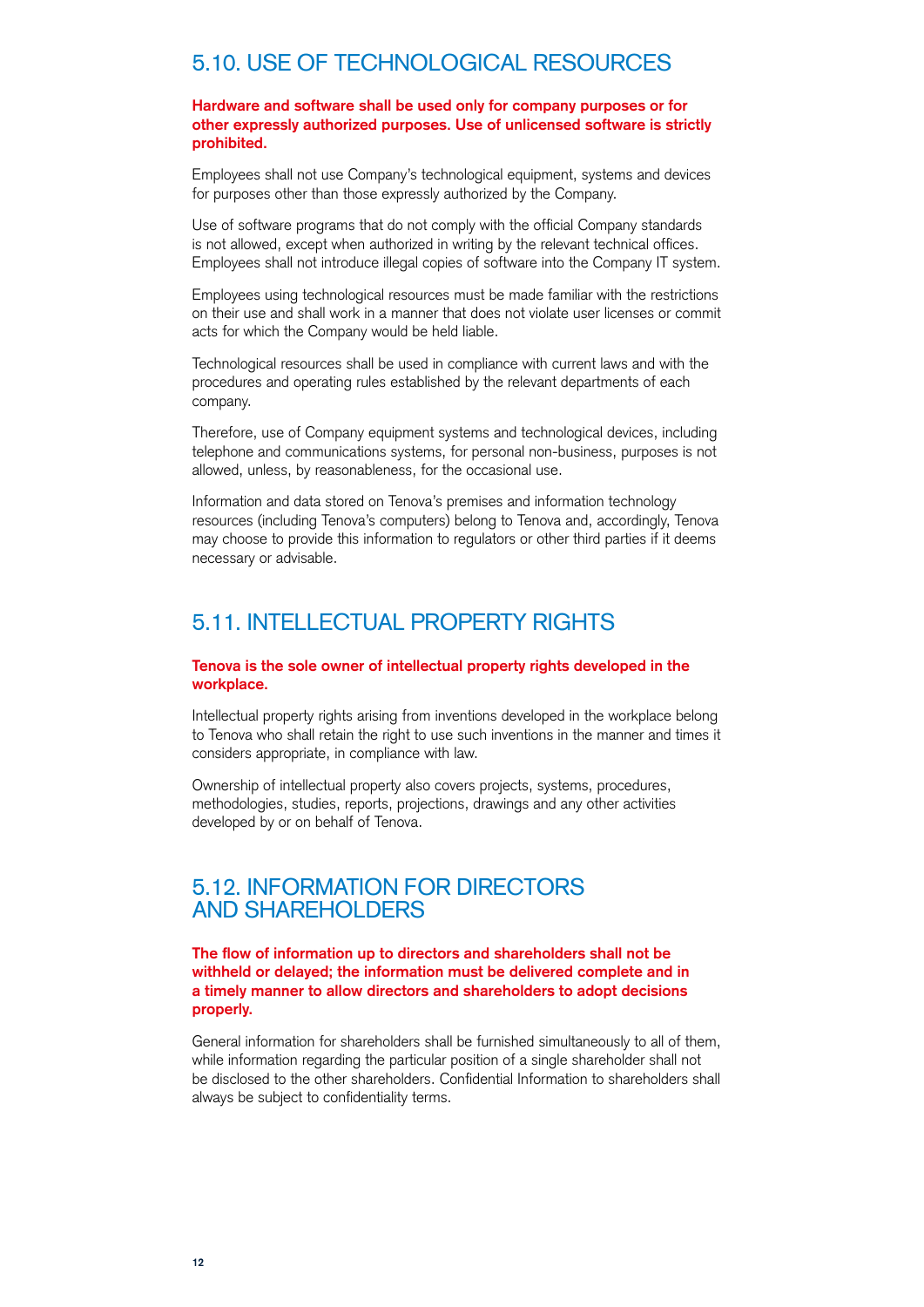## 5.10. USE OF TECHNOLOGICAL RESOURCES

**Hardware and software shall be used only for company purposes or for other expressly authorized purposes. Use of unlicensed software is strictly prohibited.**

Employees shall not use Company's technological equipment, systems and devices for purposes other than those expressly authorized by the Company.

Use of software programs that do not comply with the official Company standards is not allowed, except when authorized in writing by the relevant technical offices. Employees shall not introduce illegal copies of software into the Company IT system.

Employees using technological resources must be made familiar with the restrictions on their use and shall work in a manner that does not violate user licenses or commit acts for which the Company would be held liable.

Technological resources shall be used in compliance with current laws and with the procedures and operating rules established by the relevant departments of each company.

Therefore, use of Company equipment systems and technological devices, including telephone and communications systems, for personal non-business, purposes is not allowed, unless, by reasonableness, for the occasional use.

Information and data stored on Tenova's premises and information technology resources (including Tenova's computers) belong to Tenova and, accordingly, Tenova may choose to provide this information to regulators or other third parties if it deems necessary or advisable.

## 5.11. INTELLECTUAL PROPERTY RIGHTS

#### **Tenova is the sole owner of intellectual property rights developed in the workplace.**

Intellectual property rights arising from inventions developed in the workplace belong to Tenova who shall retain the right to use such inventions in the manner and times it considers appropriate, in compliance with law.

Ownership of intellectual property also covers projects, systems, procedures, methodologies, studies, reports, projections, drawings and any other activities developed by or on behalf of Tenova.

## 5.12. INFORMATION FOR DIRECTORS AND SHAREHOLDERS

**The flow of information up to directors and shareholders shall not be withheld or delayed; the information must be delivered complete and in a timely manner to allow directors and shareholders to adopt decisions properly.**

General information for shareholders shall be furnished simultaneously to all of them, while information regarding the particular position of a single shareholder shall not be disclosed to the other shareholders. Confidential Information to shareholders shall always be subject to confidentiality terms.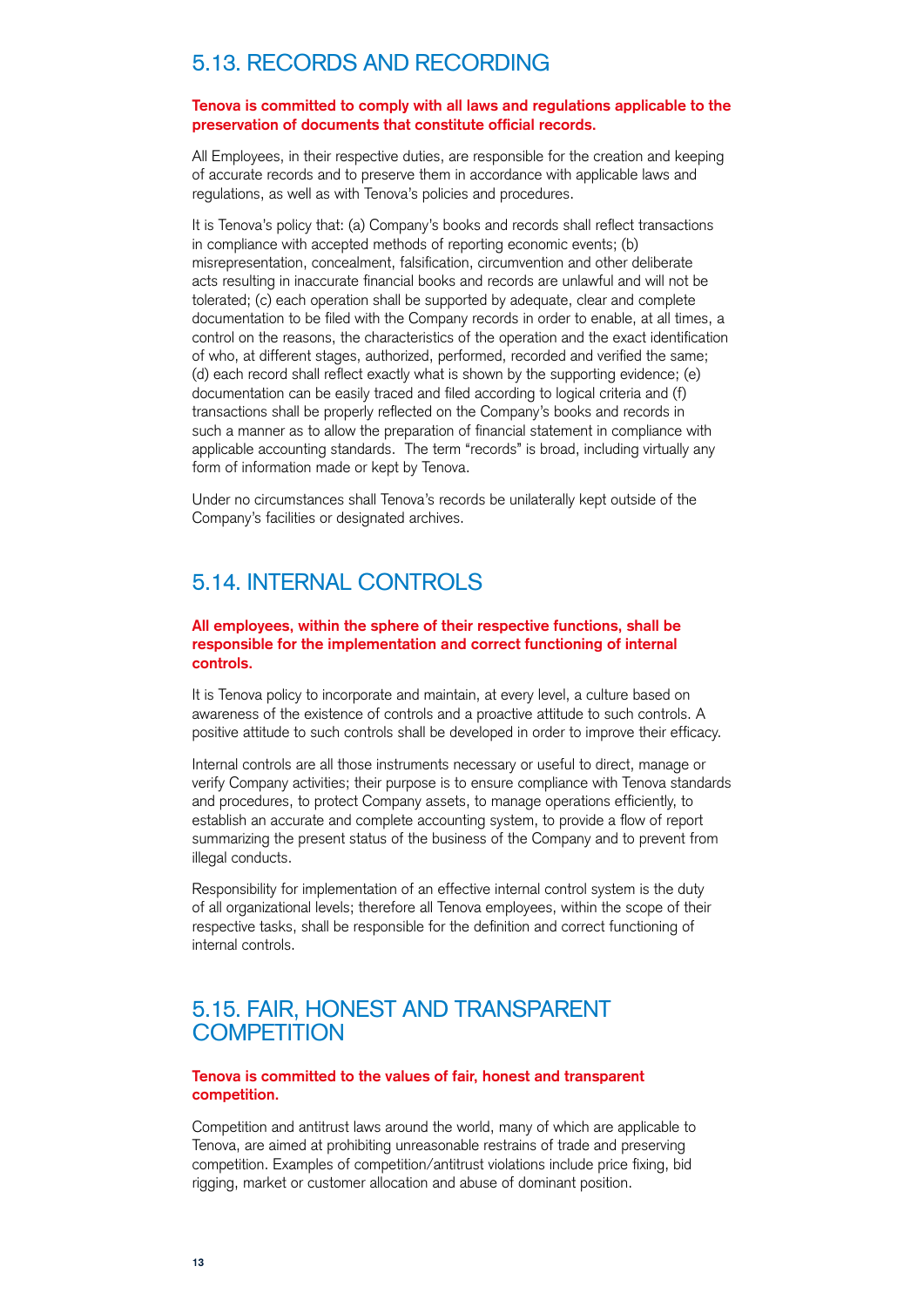## 5.13. RECORDS AND RECORDING

#### **Tenova is committed to comply with all laws and regulations applicable to the preservation of documents that constitute official records.**

All Employees, in their respective duties, are responsible for the creation and keeping of accurate records and to preserve them in accordance with applicable laws and regulations, as well as with Tenova's policies and procedures.

It is Tenova's policy that: (a) Company's books and records shall reflect transactions in compliance with accepted methods of reporting economic events; (b) misrepresentation, concealment, falsification, circumvention and other deliberate acts resulting in inaccurate financial books and records are unlawful and will not be tolerated; (c) each operation shall be supported by adequate, clear and complete documentation to be filed with the Company records in order to enable, at all times, a control on the reasons, the characteristics of the operation and the exact identification of who, at different stages, authorized, performed, recorded and verified the same; (d) each record shall reflect exactly what is shown by the supporting evidence; (e) documentation can be easily traced and filed according to logical criteria and (f) transactions shall be properly reflected on the Company's books and records in such a manner as to allow the preparation of financial statement in compliance with applicable accounting standards. The term "records" is broad, including virtually any form of information made or kept by Tenova.

Under no circumstances shall Tenova's records be unilaterally kept outside of the Company's facilities or designated archives.

## 5.14. INTERNAL CONTROLS

#### **All employees, within the sphere of their respective functions, shall be responsible for the implementation and correct functioning of internal controls.**

It is Tenova policy to incorporate and maintain, at every level, a culture based on awareness of the existence of controls and a proactive attitude to such controls. A positive attitude to such controls shall be developed in order to improve their efficacy.

Internal controls are all those instruments necessary or useful to direct, manage or verify Company activities; their purpose is to ensure compliance with Tenova standards and procedures, to protect Company assets, to manage operations efficiently, to establish an accurate and complete accounting system, to provide a flow of report summarizing the present status of the business of the Company and to prevent from illegal conducts.

Responsibility for implementation of an effective internal control system is the duty of all organizational levels; therefore all Tenova employees, within the scope of their respective tasks, shall be responsible for the definition and correct functioning of internal controls.

## 5.15. FAIR, HONEST AND TRANSPARENT **COMPETITION**

#### **Tenova is committed to the values of fair, honest and transparent competition.**

Competition and antitrust laws around the world, many of which are applicable to Tenova, are aimed at prohibiting unreasonable restrains of trade and preserving competition. Examples of competition/antitrust violations include price fixing, bid rigging, market or customer allocation and abuse of dominant position.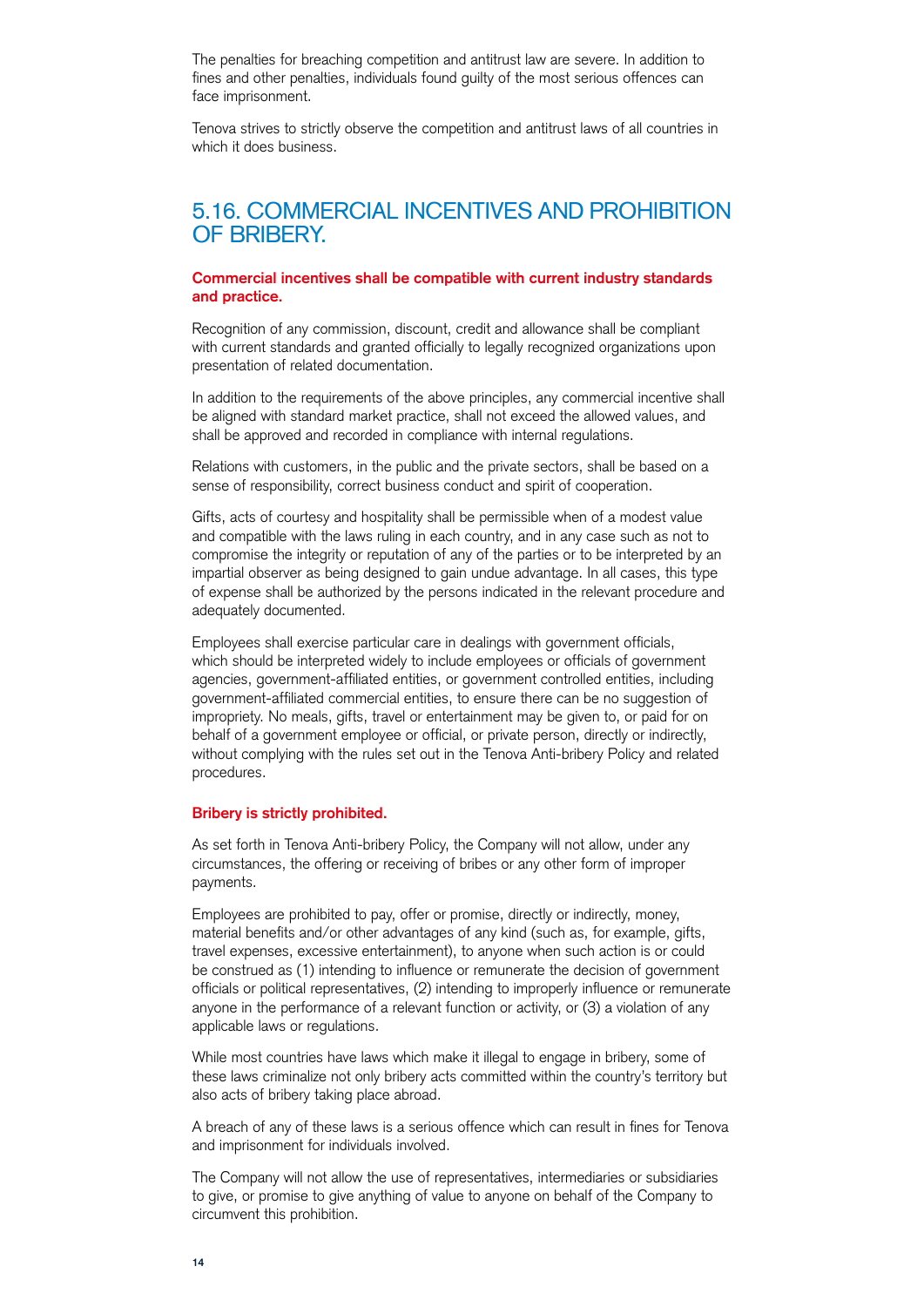The penalties for breaching competition and antitrust law are severe. In addition to fines and other penalties, individuals found guilty of the most serious offences can face imprisonment.

Tenova strives to strictly observe the competition and antitrust laws of all countries in which it does business.

### 5.16. COMMERCIAL INCENTIVES AND PROHIBITION OF BRIBERY.

#### **Commercial incentives shall be compatible with current industry standards and practice.**

Recognition of any commission, discount, credit and allowance shall be compliant with current standards and granted officially to legally recognized organizations upon presentation of related documentation.

In addition to the requirements of the above principles, any commercial incentive shall be aligned with standard market practice, shall not exceed the allowed values, and shall be approved and recorded in compliance with internal regulations.

Relations with customers, in the public and the private sectors, shall be based on a sense of responsibility, correct business conduct and spirit of cooperation.

Gifts, acts of courtesy and hospitality shall be permissible when of a modest value and compatible with the laws ruling in each country, and in any case such as not to compromise the integrity or reputation of any of the parties or to be interpreted by an impartial observer as being designed to gain undue advantage. In all cases, this type of expense shall be authorized by the persons indicated in the relevant procedure and adequately documented.

Employees shall exercise particular care in dealings with government officials, which should be interpreted widely to include employees or officials of government agencies, government-affiliated entities, or government controlled entities, including government-affiliated commercial entities, to ensure there can be no suggestion of impropriety. No meals, gifts, travel or entertainment may be given to, or paid for on behalf of a government employee or official, or private person, directly or indirectly, without complying with the rules set out in the Tenova Anti-bribery Policy and related procedures.

#### **Bribery is strictly prohibited.**

As set forth in Tenova Anti-bribery Policy, the Company will not allow, under any circumstances, the offering or receiving of bribes or any other form of improper payments.

Employees are prohibited to pay, offer or promise, directly or indirectly, money, material benefits and/or other advantages of any kind (such as, for example, gifts, travel expenses, excessive entertainment), to anyone when such action is or could be construed as (1) intending to influence or remunerate the decision of government officials or political representatives, (2) intending to improperly influence or remunerate anyone in the performance of a relevant function or activity, or (3) a violation of any applicable laws or regulations.

While most countries have laws which make it illegal to engage in bribery, some of these laws criminalize not only bribery acts committed within the country's territory but also acts of bribery taking place abroad.

A breach of any of these laws is a serious offence which can result in fines for Tenova and imprisonment for individuals involved.

The Company will not allow the use of representatives, intermediaries or subsidiaries to give, or promise to give anything of value to anyone on behalf of the Company to circumvent this prohibition.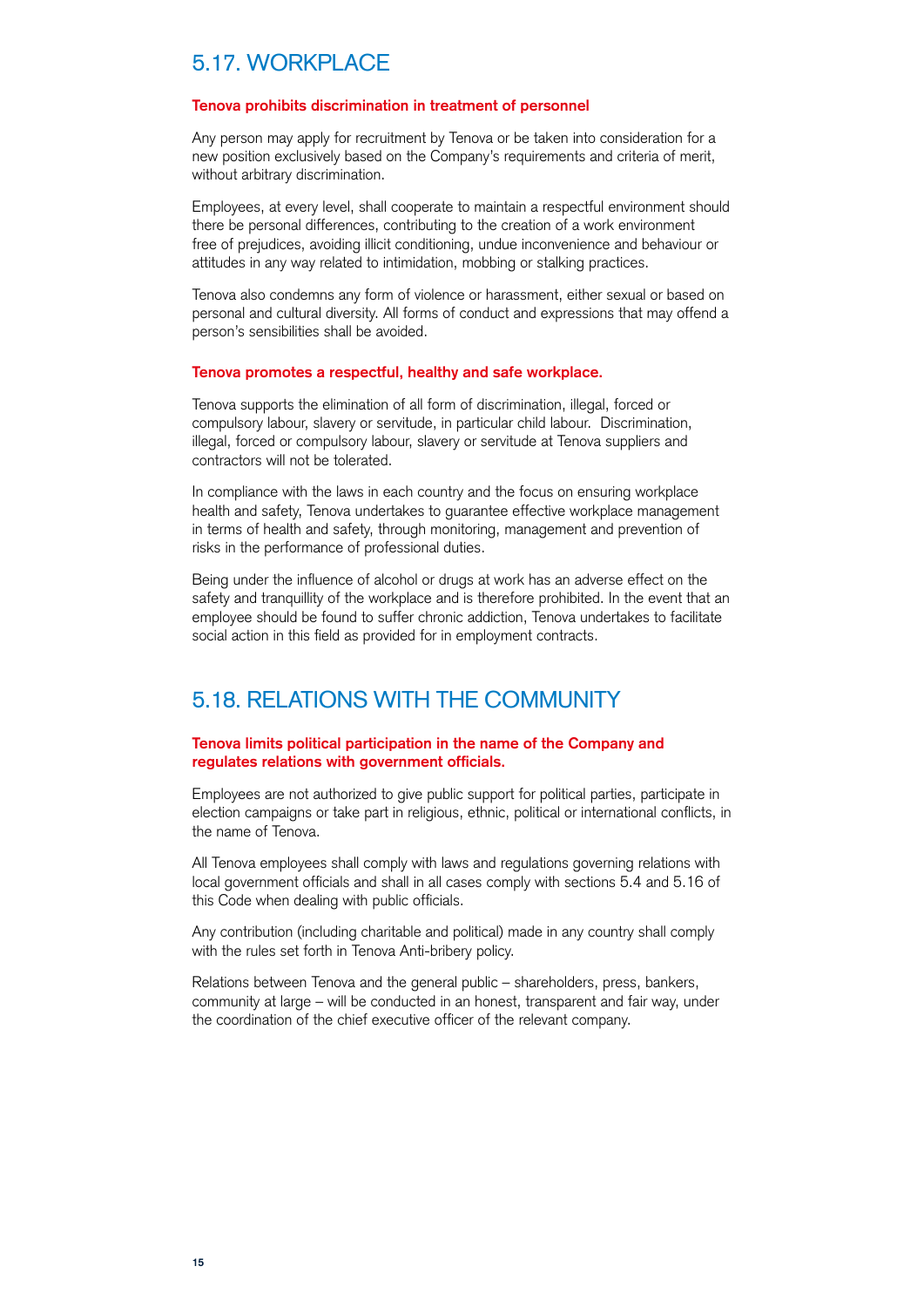## 5.17. WORKPLACE

#### **Tenova prohibits discrimination in treatment of personnel**

Any person may apply for recruitment by Tenova or be taken into consideration for a new position exclusively based on the Company's requirements and criteria of merit, without arbitrary discrimination.

Employees, at every level, shall cooperate to maintain a respectful environment should there be personal differences, contributing to the creation of a work environment free of prejudices, avoiding illicit conditioning, undue inconvenience and behaviour or attitudes in any way related to intimidation, mobbing or stalking practices.

Tenova also condemns any form of violence or harassment, either sexual or based on personal and cultural diversity. All forms of conduct and expressions that may offend a person's sensibilities shall be avoided.

#### **Tenova promotes a respectful, healthy and safe workplace.**

Tenova supports the elimination of all form of discrimination, illegal, forced or compulsory labour, slavery or servitude, in particular child labour. Discrimination, illegal, forced or compulsory labour, slavery or servitude at Tenova suppliers and contractors will not be tolerated.

In compliance with the laws in each country and the focus on ensuring workplace health and safety, Tenova undertakes to guarantee effective workplace management in terms of health and safety, through monitoring, management and prevention of risks in the performance of professional duties.

Being under the influence of alcohol or drugs at work has an adverse effect on the safety and tranquillity of the workplace and is therefore prohibited. In the event that an employee should be found to suffer chronic addiction, Tenova undertakes to facilitate social action in this field as provided for in employment contracts.

## 5.18. RELATIONS WITH THE COMMUNITY

#### **Tenova limits political participation in the name of the Company and regulates relations with government officials.**

Employees are not authorized to give public support for political parties, participate in election campaigns or take part in religious, ethnic, political or international conflicts, in the name of Tenova.

All Tenova employees shall comply with laws and regulations governing relations with local government officials and shall in all cases comply with sections 5.4 and 5.16 of this Code when dealing with public officials.

Any contribution (including charitable and political) made in any country shall comply with the rules set forth in Tenova Anti-bribery policy.

Relations between Tenova and the general public – shareholders, press, bankers, community at large – will be conducted in an honest, transparent and fair way, under the coordination of the chief executive officer of the relevant company.